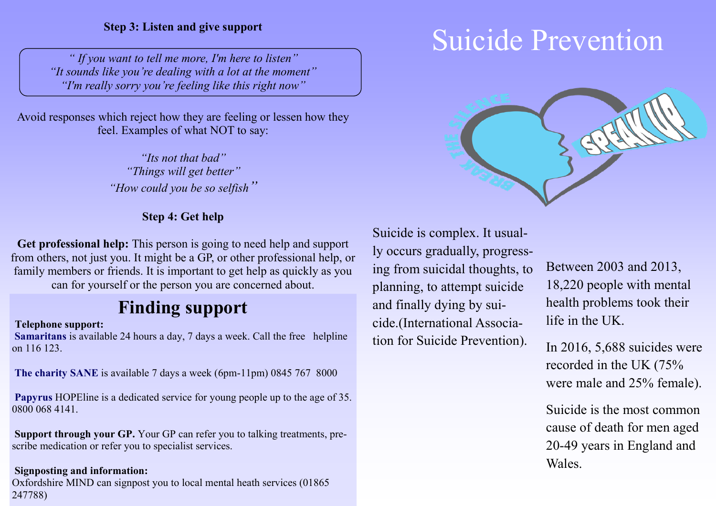*" If you want to tell me more, I'm here to listen" "It sounds like you're dealing with a lot at the moment" "I'm really sorry you're feeling like this right now"*

Avoid responses which reject how they are feeling or lessen how they feel. Examples of what NOT to say:

> *"Its not that bad" "Things will get better" "How could you be so selfish"*

#### **Step 4: Get help**

**Get professional help:** This person is going to need help and support from others, not just you. It might be a GP, or other professional help, or family members or friends. It is important to get help as quickly as you can for yourself or the person you are concerned about.

# **Finding support**

#### **Telephone support:**

**Samaritans** is available 24 hours a day, 7 days a week. Call the free helpline on 116 123.

**The charity SANE** is available 7 days a week (6pm-11pm) 0845 767 8000

**Papyrus** HOPEline is a dedicated service for young people up to the age of 35. 0800 068 4141.

**Support through your GP.** Your GP can refer you to talking treatments, prescribe medication or refer you to specialist services.

#### **Signposting and information:**

Oxfordshire MIND can signpost you to local mental heath services (01865 247788)

# Step 3: Listen and give support<br>
Suicide Prevention



Suicide is complex. It usually occurs gradually, progressing from suicidal thoughts, to planning, to attempt suicide and finally dying by suicide.(International Association for Suicide Prevention).

Between 2003 and 2013, 18,220 people with mental health problems took their life in the UK.

In 2016, 5,688 suicides were recorded in the UK (75% were male and 25% female).

Suicide is the most common cause of death for men aged 20-49 years in England and Wales.